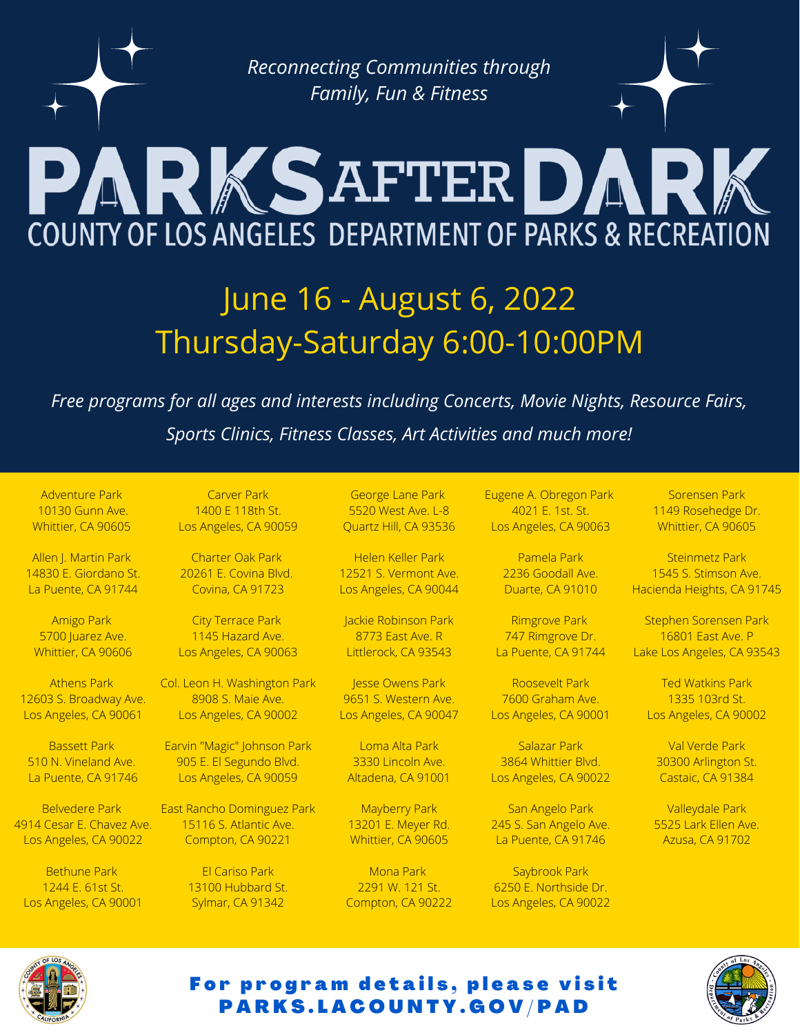*Reconnecting Communities through Family, Fun & Fitness*

# PARKSAFTERDARK **COUNTY OF LOS ANGELES DEPARTMENT OF PARKS & RECREATION**

## June 16 - August 6, 2022 Thursday-Saturday 6:00-10:00PM

*Free programs for all ages and interests including Concerts, Movie Nights, Resource Fairs, Sports Clinics, Fitness Classes, Art Activities and much more!*

Adventure Park 10130 Gunn Ave. Whittier, CA 90605

Allen J. Martin Park 14830 E. Giordano St. La Puente, CA 91744

Amigo Park 5700 Juarez Ave. Whittier, CA 90606

Athens Park 12603 S. Broadway Ave. Los Angeles, CA 90061

Bassett Park 510 N. Vineland Ave. La Puente, CA 91746

Belvedere Park 4914 Cesar E. Chavez Ave. Los Angeles, CA 90022

Bethune Park 1244 E. 61st St. Los Angeles, CA 90001

Carver Park 1400 E 118th St. Los Angeles, CA 90059

Charter Oak Park 20261 E. Covina Blvd. Covina, CA 91723

City Terrace Park 1145 Hazard Ave. Los Angeles, CA 90063

Col. Leon H. Washington Park 8908 S. Maie Ave. Los Angeles, CA 90002

Earvin "Magic" Johnson Park 905 E. El Segundo Blvd. Los Angeles, CA 90059

East Rancho Dominguez Park 15116 S. Atlantic Ave. Compton, CA 90221

> El Cariso Park 13100 Hubbard St. Sylmar, CA 91342

George Lane Park 5520 West Ave. L-8 Quartz Hill, CA 93536

Helen Keller Park 12521 S. Vermont Ave. Los Angeles, CA 90044

Jackie Robinson Park 8773 East Ave. R Littlerock, CA 93543

Jesse Owens Park 9651 S. Western Ave. Los Angeles, CA 90047

Loma Alta Park 3330 Lincoln Ave. Altadena, CA 91001

Mayberry Park 13201 E. Meyer Rd. Whittier, CA 90605

Mona Park 2291 W. 121 St. Compton, CA 90222 Eugene A. Obregon Park 4021 E. 1st. St. Los Angeles, CA 90063

> Pamela Park 2236 Goodall Ave. Duarte, CA 91010

Rimgrove Park 747 Rimgrove Dr. La Puente, CA 91744

Roosevelt Park 7600 Graham Ave. Los Angeles, CA 90001

Salazar Park 3864 Whittier Blvd. Los Angeles, CA 90022

San Angelo Park 245 S. San Angelo Ave. La Puente, CA 91746

Saybrook Park 6250 E. Northside Dr. Los Angeles, CA 90022

Sorensen Park 1149 Rosehedge Dr. Whittier, CA 90605

Steinmetz Park 1545 S. Stimson Ave. Hacienda Heights, CA 91745

Stephen Sorensen Park 16801 East Ave. P Lake Los Angeles, CA 93543

Ted Watkins Park 1335 103rd St. Los Angeles, CA 90002

Val Verde Park 30300 Arlington St. Castaic, CA 91384

Valleydale Park 5525 Lark Ellen Ave. Azusa, CA 91702



#### For program details, please visit P A R K S . L A C O U N T Y . G O V / P A D